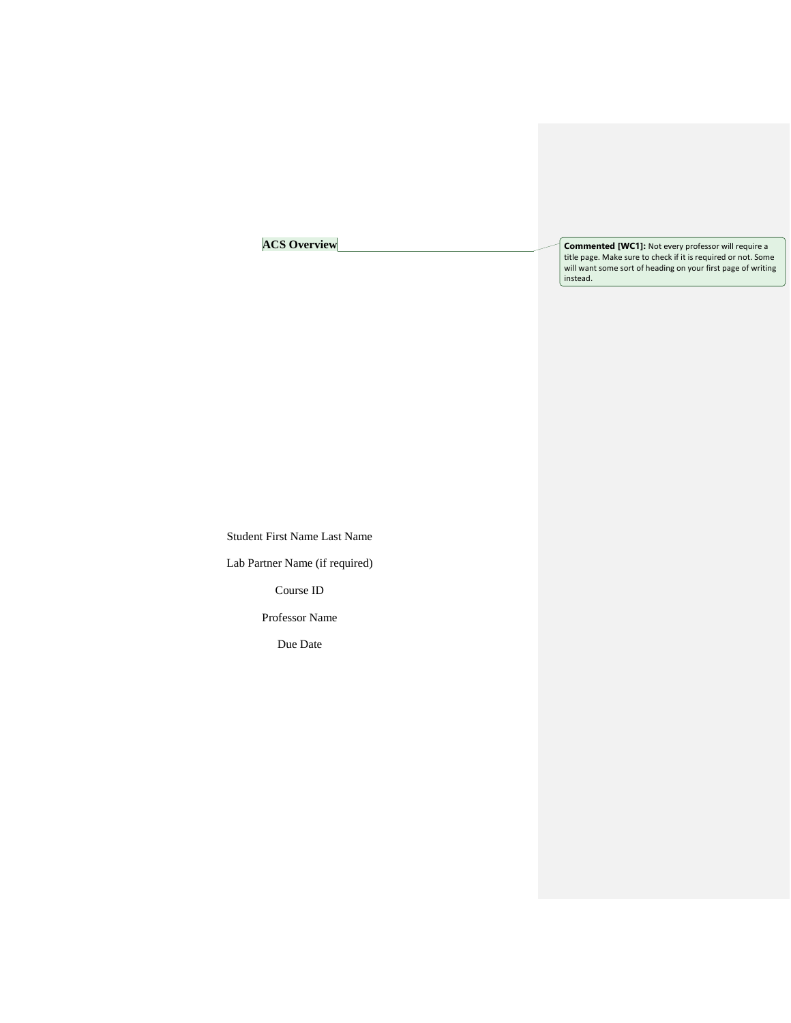# **ACS Overview**

**Commented [WC1]:** Not every professor will require a title page. Make sure to check if it is required or not. Some will want some sort of heading on your first page of writing instead.

Student First Name Last Name Lab Partner Name (if required) Course ID Professor Name

Due Date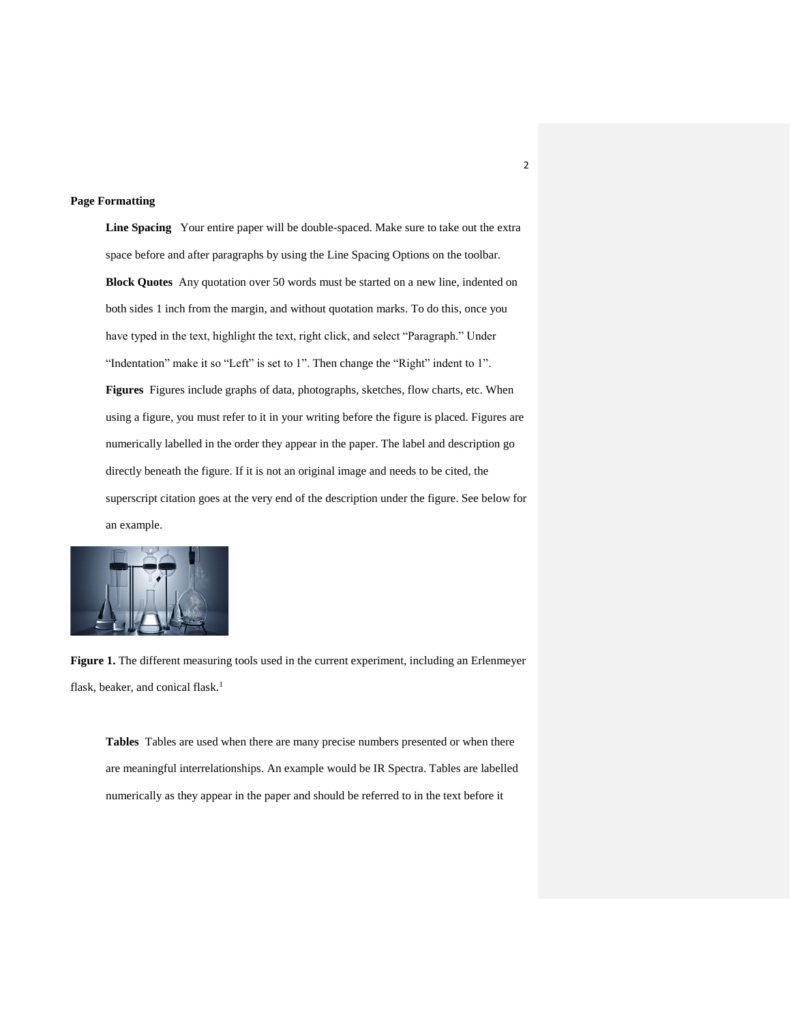#### **Page Formatting**

**Line Spacing** Your entire paper will be double-spaced. Make sure to take out the extra space before and after paragraphs by using the Line Spacing Options on the toolbar. **Block Quotes** Any quotation over 50 words must be started on a new line, indented on both sides 1 inch from the margin, and without quotation marks. To do this, once you have typed in the text, highlight the text, right click, and select "Paragraph." Under "Indentation" make it so "Left" is set to 1". Then change the "Right" indent to 1". **Figures** Figures include graphs of data, photographs, sketches, flow charts, etc. When using a figure, you must refer to it in your writing before the figure is placed. Figures are numerically labelled in the order they appear in the paper. The label and description go directly beneath the figure. If it is not an original image and needs to be cited, the superscript citation goes at the very end of the description under the figure. See below for an example.



**Figure 1.** The different measuring tools used in the current experiment, including an Erlenmeyer flask, beaker, and conical flask.<sup>1</sup>

**Tables** Tables are used when there are many precise numbers presented or when there are meaningful interrelationships. An example would be IR Spectra. Tables are labelled numerically as they appear in the paper and should be referred to in the text before it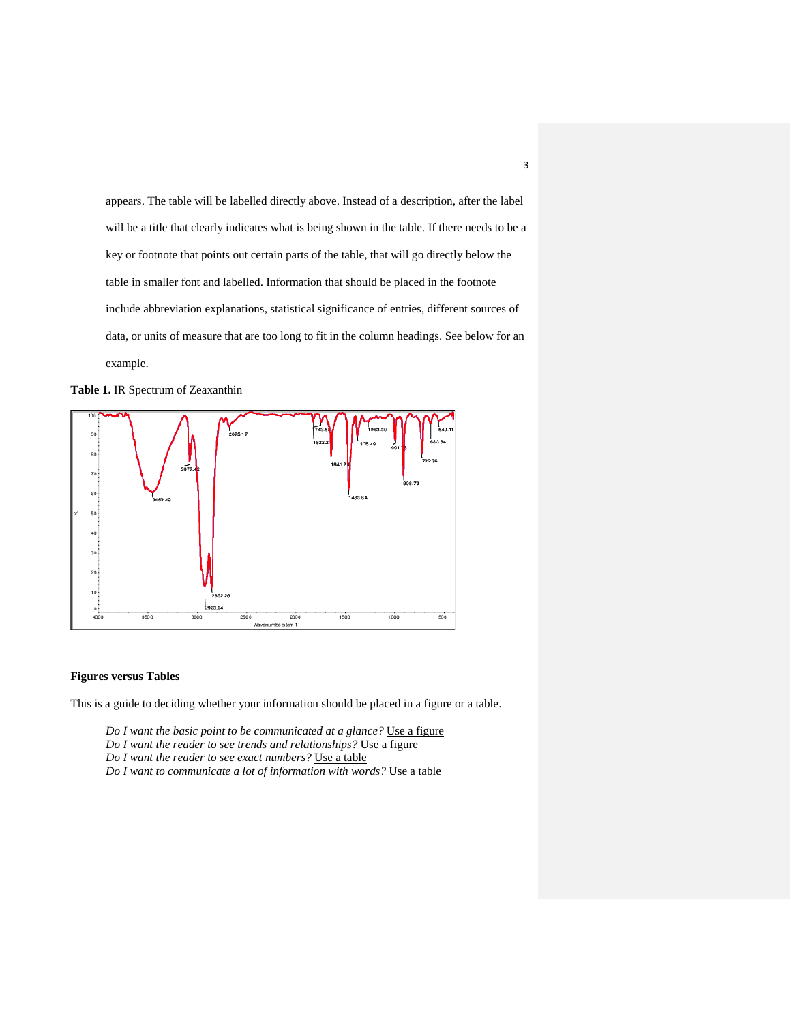appears. The table will be labelled directly above. Instead of a description, after the label will be a title that clearly indicates what is being shown in the table. If there needs to be a key or footnote that points out certain parts of the table, that will go directly below the table in smaller font and labelled. Information that should be placed in the footnote include abbreviation explanations, statistical significance of entries, different sources of data, or units of measure that are too long to fit in the column headings. See below for an example.





#### **Figures versus Tables**

This is a guide to deciding whether your information should be placed in a figure or a table.

*Do I want the basic point to be communicated at a glance?* Use a figure *Do I want the reader to see trends and relationships?* Use a figure *Do I want the reader to see exact numbers?* Use a table *Do I want to communicate a lot of information with words?* Use a table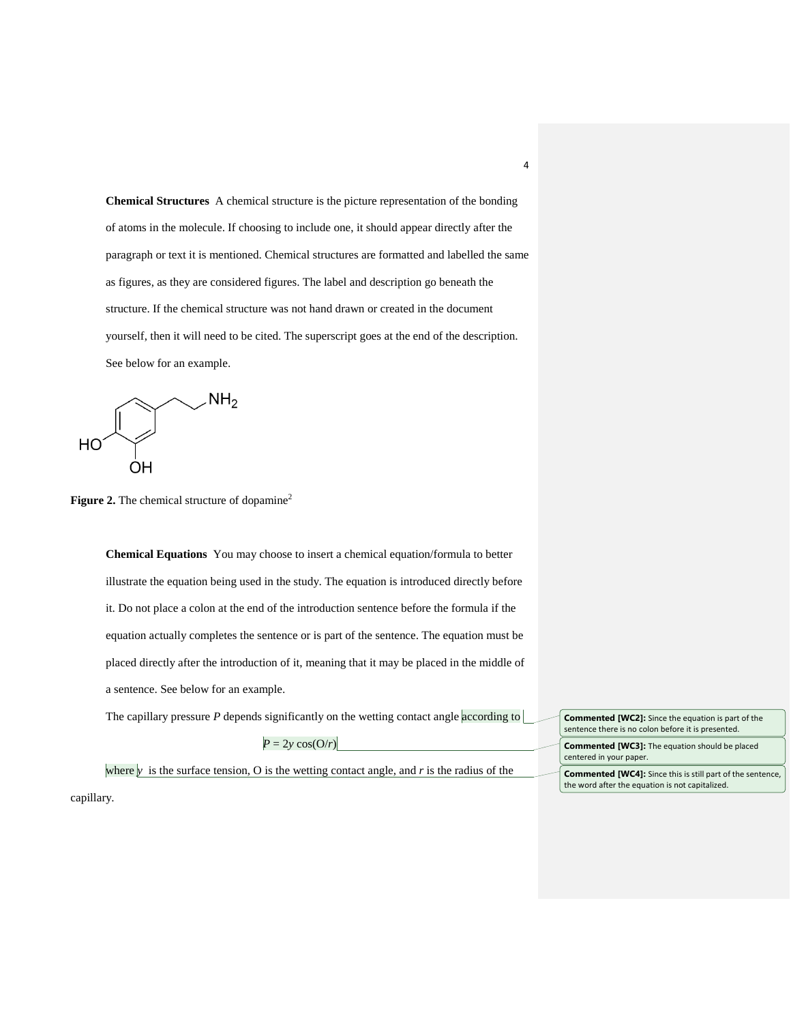**Chemical Structures** A chemical structure is the picture representation of the bonding of atoms in the molecule. If choosing to include one, it should appear directly after the paragraph or text it is mentioned. Chemical structures are formatted and labelled the same as figures, as they are considered figures. The label and description go beneath the structure. If the chemical structure was not hand drawn or created in the document yourself, then it will need to be cited. The superscript goes at the end of the description. See below for an example.

$$
\rm HO\left(\begin{matrix}&&&\\&\ddots&\\&&&\\&&C\\0\\H\end{matrix}\right)\begin{matrix}\\&\ddots\\&\ddots\\&\\&&C\end{matrix}
$$

**Figure 2.** The chemical structure of dopamine<sup>2</sup>

**Chemical Equations** You may choose to insert a chemical equation/formula to better illustrate the equation being used in the study. The equation is introduced directly before it. Do not place a colon at the end of the introduction sentence before the formula if the equation actually completes the sentence or is part of the sentence. The equation must be placed directly after the introduction of it, meaning that it may be placed in the middle of a sentence. See below for an example.

The capillary pressure *P* depends significantly on the wetting contact angle according to

| <b>Commented [WC2]:</b> Since the equation is part of the<br>sentence there is no colon before it is presented.      |
|----------------------------------------------------------------------------------------------------------------------|
| <b>Commented [WC3]:</b> The equation should be placed<br>centered in your paper.                                     |
| <b>Commented [WC4]:</b> Since this is still part of the sentence,<br>the word after the equation is not capitalized. |

where  $\bar{y}$  is the surface tension, O is the wetting contact angle, and  $\bar{r}$  is the radius of the

 $P = 2y \cos(\frac{O}{r})$ 

capillary.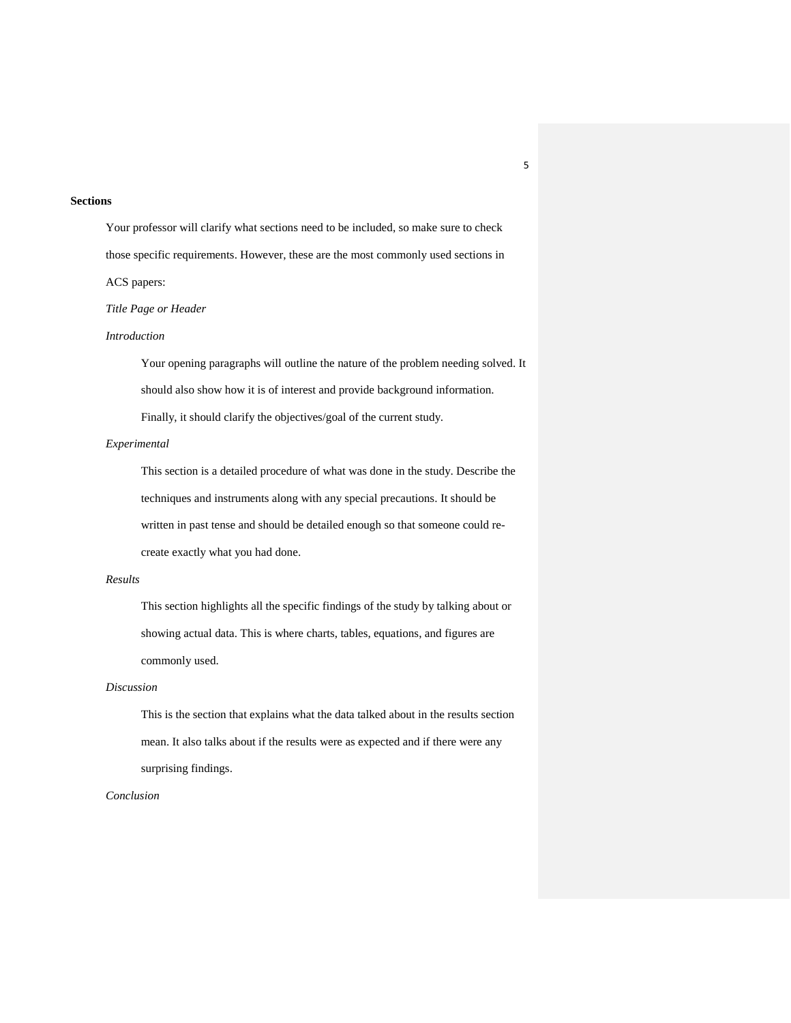### **Sections**

Your professor will clarify what sections need to be included, so make sure to check those specific requirements. However, these are the most commonly used sections in ACS papers:

*Title Page or Header*

### *Introduction*

Your opening paragraphs will outline the nature of the problem needing solved. It should also show how it is of interest and provide background information. Finally, it should clarify the objectives/goal of the current study.

### *Experimental*

This section is a detailed procedure of what was done in the study. Describe the techniques and instruments along with any special precautions. It should be written in past tense and should be detailed enough so that someone could recreate exactly what you had done.

### *Results*

This section highlights all the specific findings of the study by talking about or showing actual data. This is where charts, tables, equations, and figures are commonly used.

### *Discussion*

This is the section that explains what the data talked about in the results section mean. It also talks about if the results were as expected and if there were any surprising findings.

### *Conclusion*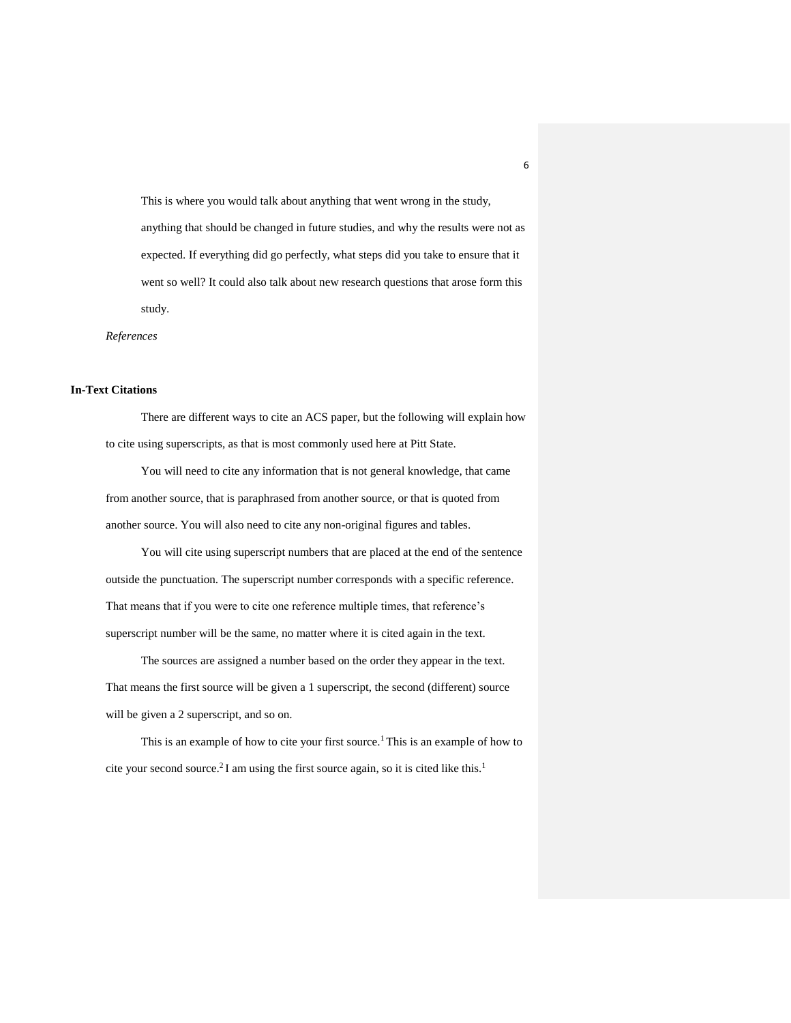This is where you would talk about anything that went wrong in the study, anything that should be changed in future studies, and why the results were not as expected. If everything did go perfectly, what steps did you take to ensure that it went so well? It could also talk about new research questions that arose form this study.

*References*

### **In-Text Citations**

There are different ways to cite an ACS paper, but the following will explain how to cite using superscripts, as that is most commonly used here at Pitt State.

You will need to cite any information that is not general knowledge, that came from another source, that is paraphrased from another source, or that is quoted from another source. You will also need to cite any non-original figures and tables.

You will cite using superscript numbers that are placed at the end of the sentence outside the punctuation. The superscript number corresponds with a specific reference. That means that if you were to cite one reference multiple times, that reference's superscript number will be the same, no matter where it is cited again in the text.

The sources are assigned a number based on the order they appear in the text. That means the first source will be given a 1 superscript, the second (different) source will be given a 2 superscript, and so on.

This is an example of how to cite your first source.<sup>1</sup> This is an example of how to cite your second source.<sup>2</sup> I am using the first source again, so it is cited like this.<sup>1</sup>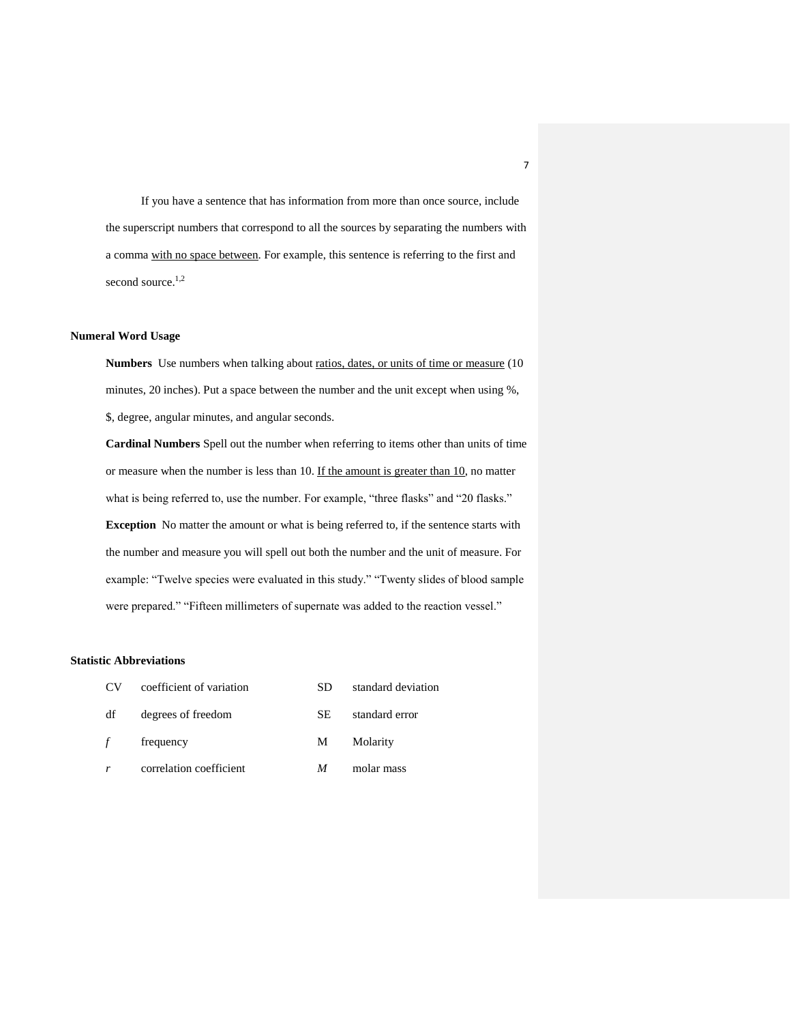If you have a sentence that has information from more than once source, include the superscript numbers that correspond to all the sources by separating the numbers with a comma with no space between. For example, this sentence is referring to the first and second source.<sup>1,2</sup>

# **Numeral Word Usage**

Numbers Use numbers when talking about ratios, dates, or units of time or measure (10) minutes, 20 inches). Put a space between the number and the unit except when using %, \$, degree, angular minutes, and angular seconds.

**Cardinal Numbers** Spell out the number when referring to items other than units of time or measure when the number is less than 10. If the amount is greater than 10, no matter what is being referred to, use the number. For example, "three flasks" and "20 flasks." **Exception** No matter the amount or what is being referred to, if the sentence starts with the number and measure you will spell out both the number and the unit of measure. For example: "Twelve species were evaluated in this study." "Twenty slides of blood sample were prepared." "Fifteen millimeters of supernate was added to the reaction vessel."

### **Statistic Abbreviations**

| CV <sub>.</sub> | coefficient of variation | SD  | standard deviation |
|-----------------|--------------------------|-----|--------------------|
| df              | degrees of freedom       | SE. | standard error     |
| f               | frequency                | M   | Molarity           |
|                 | correlation coefficient  | М   | molar mass         |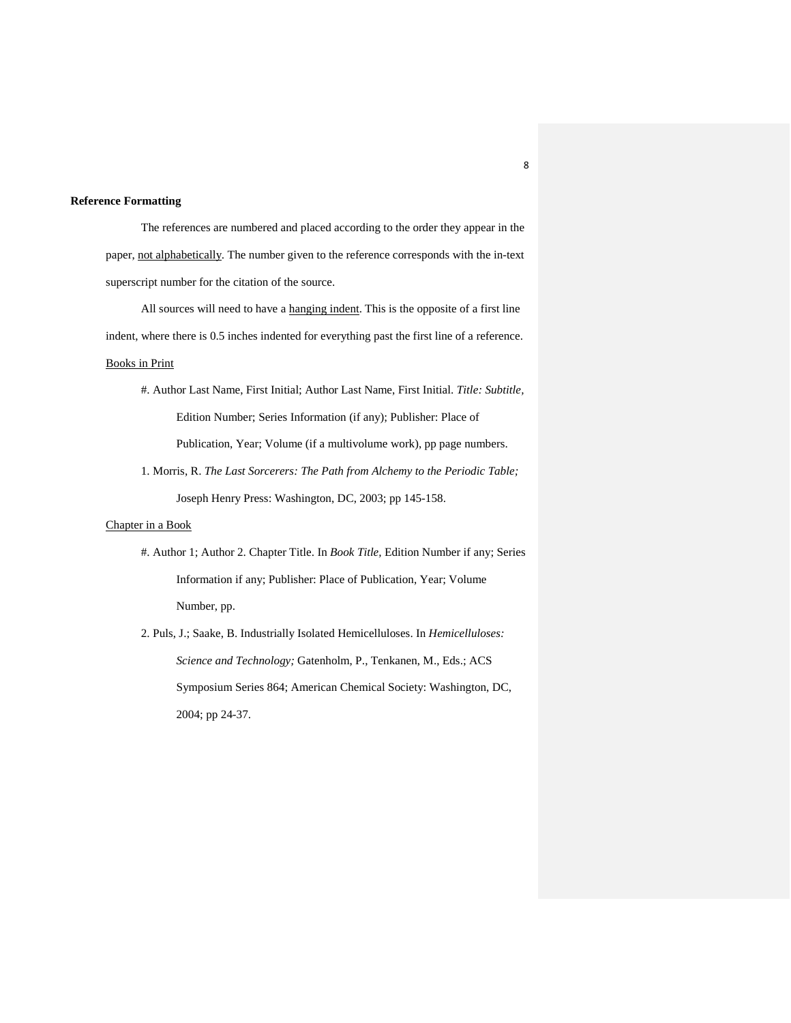### **Reference Formatting**

The references are numbered and placed according to the order they appear in the paper, not alphabetically. The number given to the reference corresponds with the in-text superscript number for the citation of the source.

All sources will need to have a hanging indent. This is the opposite of a first line indent, where there is 0.5 inches indented for everything past the first line of a reference.

# Books in Print

- #. Author Last Name, First Initial; Author Last Name, First Initial. *Title: Subtitle,*  Edition Number; Series Information (if any); Publisher: Place of Publication, Year; Volume (if a multivolume work), pp page numbers.
- 1. Morris, R. *The Last Sorcerers: The Path from Alchemy to the Periodic Table;*  Joseph Henry Press: Washington, DC, 2003; pp 145-158.

## Chapter in a Book

- #. Author 1; Author 2. Chapter Title. In *Book Title,* Edition Number if any; Series Information if any; Publisher: Place of Publication, Year; Volume Number, pp.
- 2. Puls, J.; Saake, B. Industrially Isolated Hemicelluloses. In *Hemicelluloses: Science and Technology;* Gatenholm, P., Tenkanen, M., Eds.; ACS Symposium Series 864; American Chemical Society: Washington, DC, 2004; pp 24-37.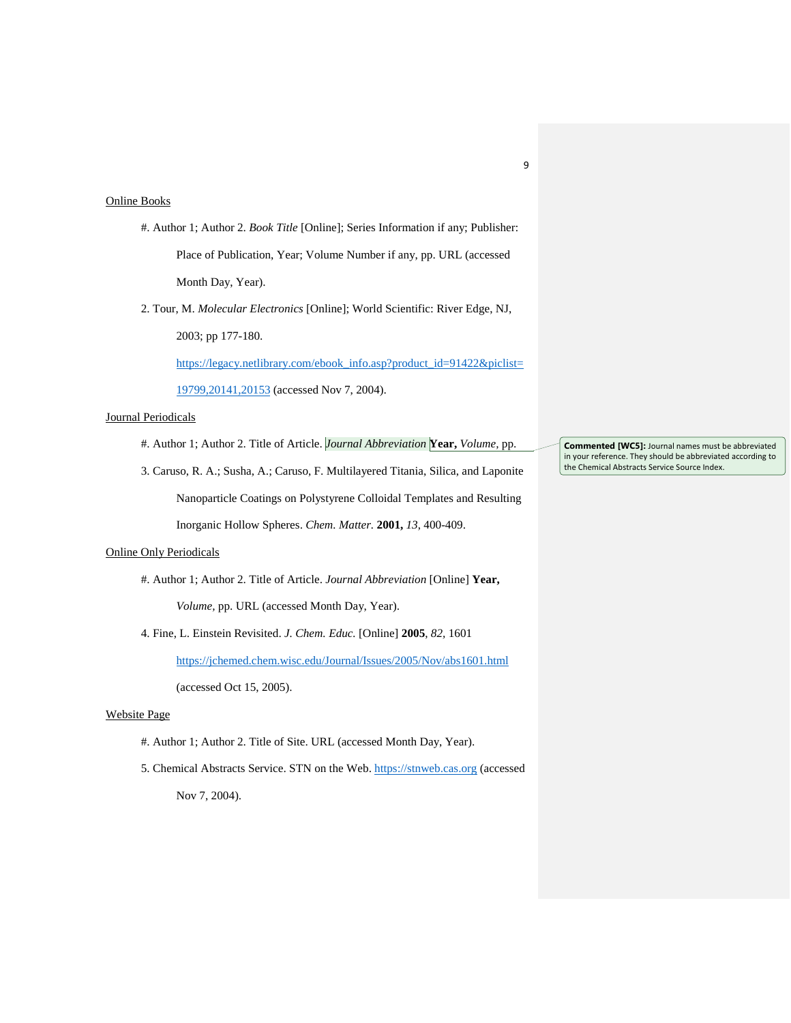### Online Books

- #. Author 1; Author 2. *Book Title* [Online]; Series Information if any; Publisher: Place of Publication, Year; Volume Number if any, pp. URL (accessed Month Day, Year).
- 2. Tour, M. *Molecular Electronics* [Online]; World Scientific: River Edge, NJ, 2003; pp 177-180.

[https://legacy.netlibrary.com/ebook\\_info.asp?product\\_id=91422&piclist=](https://legacy.netlibrary.com/ebook_info.asp?product_id=91422&piclist=19799,20141,20153)

[19799,20141,20153](https://legacy.netlibrary.com/ebook_info.asp?product_id=91422&piclist=19799,20141,20153) (accessed Nov 7, 2004).

### Journal Periodicals

#. Author 1; Author 2. Title of Article. *Journal Abbreviation* **Year,** *Volume,* pp.

3. Caruso, R. A.; Susha, A.; Caruso, F. Multilayered Titania, Silica, and Laponite Nanoparticle Coatings on Polystyrene Colloidal Templates and Resulting Inorganic Hollow Spheres. *Chem. Matter.* **2001,** *13*, 400-409.

### Online Only Periodicals

- #. Author 1; Author 2. Title of Article. *Journal Abbreviation* [Online] **Year,**  *Volume,* pp. URL (accessed Month Day, Year).
- 4. Fine, L. Einstein Revisited. *J. Chem. Educ.* [Online] **2005**, *82,* 1601

<https://jchemed.chem.wisc.edu/Journal/Issues/2005/Nov/abs1601.html>

(accessed Oct 15, 2005).

## Website Page

- #. Author 1; Author 2. Title of Site. URL (accessed Month Day, Year).
- 5. Chemical Abstracts Service. STN on the Web. [https://stnweb.cas.org](https://stnweb.cas.org/) (accessed Nov 7, 2004).

**Commented [WC5]:** Journal names must be abbreviated in your reference. They should be abbreviated according to the Chemical Abstracts Service Source Index.